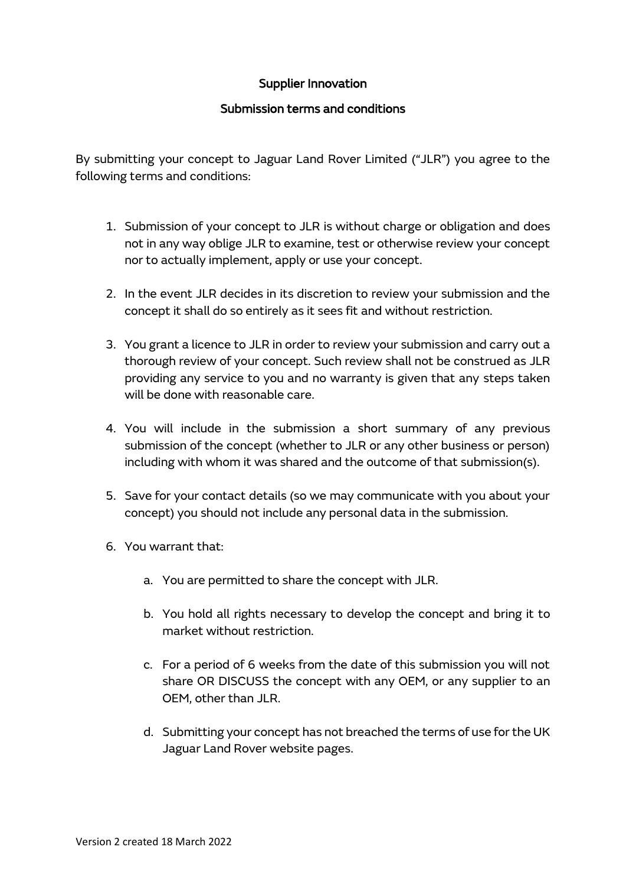## Supplier Innovation

## Submission terms and conditions

By submitting your concept to Jaguar Land Rover Limited ("JLR") you agree to the following terms and conditions:

- 1. Submission of your concept to JLR is without charge or obligation and does not in any way oblige JLR to examine, test or otherwise review your concept nor to actually implement, apply or use your concept.
- 2. In the event JLR decides in its discretion to review your submission and the concept it shall do so entirely as it sees fit and without restriction.
- 3. You grant a licence to JLR in order to review your submission and carry out a thorough review of your concept. Such review shall not be construed as JLR providing any service to you and no warranty is given that any steps taken will be done with reasonable care.
- 4. You will include in the submission a short summary of any previous submission of the concept (whether to JLR or any other business or person) including with whom it was shared and the outcome of that submission(s).
- 5. Save for your contact details (so we may communicate with you about your concept) you should not include any personal data in the submission.
- 6. You warrant that:
	- a. You are permitted to share the concept with JLR.
	- b. You hold all rights necessary to develop the concept and bring it to market without restriction.
	- c. For a period of 6 weeks from the date of this submission you will not share OR DISCUSS the concept with any OEM, or any supplier to an OEM, other than JLR.
	- d. Submitting your concept has not breached the terms of use for the UK Jaguar Land Rover website pages.